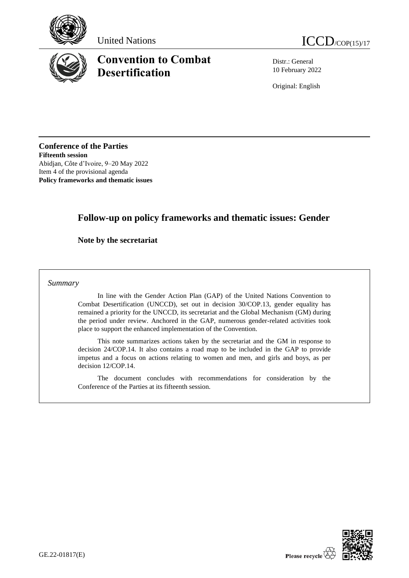





# **Convention to Combat Desertification**

Distr.: General 10 February 2022

Original: English

**Conference of the Parties Fifteenth session** Abidjan, Côte d'Ivoire, 9–20 May 2022 Item 4 of the provisional agenda **Policy frameworks and thematic issues**

# **Follow-up on policy frameworks and thematic issues: Gender**

**Note by the secretariat**

*Summary*

In line with the Gender Action Plan (GAP) of the United Nations Convention to Combat Desertification (UNCCD), set out in decision 30/COP.13, gender equality has remained a priority for the UNCCD, its secretariat and the Global Mechanism (GM) during the period under review. Anchored in the GAP, numerous gender-related activities took place to support the enhanced implementation of the Convention.

This note summarizes actions taken by the secretariat and the GM in response to decision 24/COP.14. It also contains a road map to be included in the GAP to provide impetus and a focus on actions relating to women and men, and girls and boys, as per decision 12/COP.14.

The document concludes with recommendations for consideration by the Conference of the Parties at its fifteenth session.

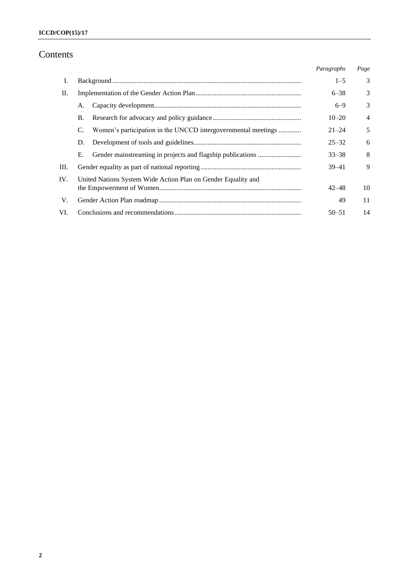# Contents

|     |    |                                                               | Paragraphs | Page           |
|-----|----|---------------------------------------------------------------|------------|----------------|
| Ι.  |    |                                                               | $1 - 5$    | 3              |
| П.  |    |                                                               | $6 - 38$   | 3              |
|     | А. |                                                               | $6 - 9$    | 3              |
|     | B. |                                                               | $10 - 20$  | $\overline{4}$ |
|     | C. | Women's participation in the UNCCD intergovernmental meetings | $21 - 24$  | 5              |
|     | D. |                                                               | $25 - 32$  | 6              |
|     | Е. |                                                               | $33 - 38$  | 8              |
| Ш.  |    |                                                               | $39 - 41$  | 9              |
| IV. |    | United Nations System Wide Action Plan on Gender Equality and | $42 - 48$  | 10             |
| V.  |    |                                                               | 49         | 11             |
| VI. |    |                                                               | $50 - 51$  | 14             |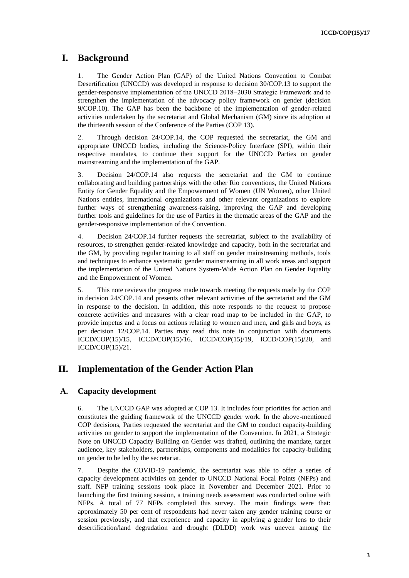## **I. Background**

1. The Gender Action Plan (GAP) of the United Nations Convention to Combat Desertification (UNCCD) was developed in response to decision 30/COP.13 to support the gender-responsive implementation of the UNCCD 2018−2030 Strategic Framework and to strengthen the implementation of the advocacy policy framework on gender (decision 9/COP.10). The GAP has been the backbone of the implementation of gender-related activities undertaken by the secretariat and Global Mechanism (GM) since its adoption at the thirteenth session of the Conference of the Parties (COP 13).

2. Through decision 24/COP.14, the COP requested the secretariat, the GM and appropriate UNCCD bodies, including the Science-Policy Interface (SPI), within their respective mandates, to continue their support for the UNCCD Parties on gender mainstreaming and the implementation of the GAP.

3. Decision 24/COP.14 also requests the secretariat and the GM to continue collaborating and building partnerships with the other Rio conventions, the United Nations Entity for Gender Equality and the Empowerment of Women (UN Women), other United Nations entities, international organizations and other relevant organizations to explore further ways of strengthening awareness-raising, improving the GAP and developing further tools and guidelines for the use of Parties in the thematic areas of the GAP and the gender-responsive implementation of the Convention.

4. Decision 24/COP.14 further requests the secretariat, subject to the availability of resources, to strengthen gender-related knowledge and capacity, both in the secretariat and the GM, by providing regular training to all staff on gender mainstreaming methods, tools and techniques to enhance systematic gender mainstreaming in all work areas and support the implementation of the United Nations System-Wide Action Plan on Gender Equality and the Empowerment of Women.

5. This note reviews the progress made towards meeting the requests made by the COP in decision 24/COP.14 and presents other relevant activities of the secretariat and the GM in response to the decision. In addition, this note responds to the request to propose concrete activities and measures with a clear road map to be included in the GAP, to provide impetus and a focus on actions relating to women and men, and girls and boys, as per decision 12/COP.14. Parties may read this note in conjunction with documents ICCD/COP(15)/15, ICCD/COP(15)/16, ICCD/COP(15)/19, ICCD/COP(15)/20, and ICCD/COP(15)/21.

## **II. Implementation of the Gender Action Plan**

### **A. Capacity development**

6. The UNCCD GAP was adopted at COP 13. It includes four priorities for action and constitutes the guiding framework of the UNCCD gender work. In the above-mentioned COP decisions, Parties requested the secretariat and the GM to conduct capacity-building activities on gender to support the implementation of the Convention. In 2021, a Strategic Note on UNCCD Capacity Building on Gender was drafted, outlining the mandate, target audience, key stakeholders, partnerships, components and modalities for capacity-building on gender to be led by the secretariat.

7. Despite the COVID-19 pandemic, the secretariat was able to offer a series of capacity development activities on gender to UNCCD National Focal Points (NFPs) and staff. NFP training sessions took place in November and December 2021. Prior to launching the first training session, a training needs assessment was conducted online with NFPs. A total of 77 NFPs completed this survey. The main findings were that: approximately 50 per cent of respondents had never taken any gender training course or session previously, and that experience and capacity in applying a gender lens to their desertification/land degradation and drought (DLDD) work was uneven among the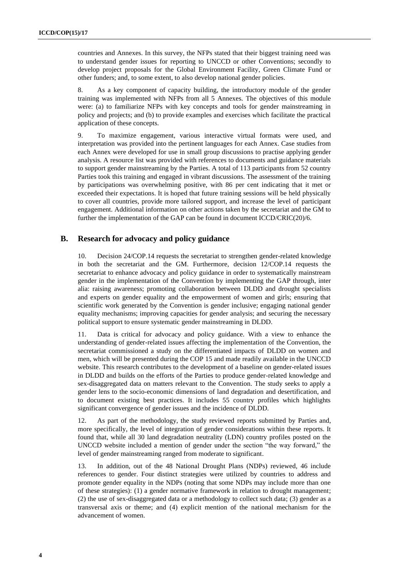countries and Annexes. In this survey, the NFPs stated that their biggest training need was to understand gender issues for reporting to UNCCD or other Conventions; secondly to develop project proposals for the Global Environment Facility, Green Climate Fund or other funders; and, to some extent, to also develop national gender policies.

8. As a key component of capacity building, the introductory module of the gender training was implemented with NFPs from all 5 Annexes. The objectives of this module were: (a) to familiarize NFPs with key concepts and tools for gender mainstreaming in policy and projects; and (b) to provide examples and exercises which facilitate the practical application of these concepts.

9. To maximize engagement, various interactive virtual formats were used, and interpretation was provided into the pertinent languages for each Annex. Case studies from each Annex were developed for use in small group discussions to practise applying gender analysis. A resource list was provided with references to documents and guidance materials to support gender mainstreaming by the Parties. A total of 113 participants from 52 country Parties took this training and engaged in vibrant discussions. The assessment of the training by participations was overwhelming positive, with 86 per cent indicating that it met or exceeded their expectations. It is hoped that future training sessions will be held physically to cover all countries, provide more tailored support, and increase the level of participant engagement. Additional information on other actions taken by the secretariat and the GM to further the implementation of the GAP can be found in document ICCD/CRIC(20)/6.

### **B. Research for advocacy and policy guidance**

10. Decision 24/COP.14 requests the secretariat to strengthen gender-related knowledge in both the secretariat and the GM. Furthermore, decision 12/COP.14 requests the secretariat to enhance advocacy and policy guidance in order to systematically mainstream gender in the implementation of the Convention by implementing the GAP through, inter alia: raising awareness; promoting collaboration between DLDD and drought specialists and experts on gender equality and the empowerment of women and girls; ensuring that scientific work generated by the Convention is gender inclusive; engaging national gender equality mechanisms; improving capacities for gender analysis; and securing the necessary political support to ensure systematic gender mainstreaming in DLDD.

11. Data is critical for advocacy and policy guidance. With a view to enhance the understanding of gender-related issues affecting the implementation of the Convention, the secretariat commissioned a study on the differentiated impacts of DLDD on women and men, which will be presented during the COP 15 and made readily available in the UNCCD website. This research contributes to the development of a baseline on gender-related issues in DLDD and builds on the efforts of the Parties to produce gender-related knowledge and sex-disaggregated data on matters relevant to the Convention. The study seeks to apply a gender lens to the socio-economic dimensions of land degradation and desertification, and to document existing best practices. It includes 55 country profiles which highlights significant convergence of gender issues and the incidence of DLDD.

12. As part of the methodology, the study reviewed reports submitted by Parties and, more specifically, the level of integration of gender considerations within these reports. It found that, while all 30 land degradation neutrality (LDN) country profiles posted on the UNCCD website included a mention of gender under the section "the way forward," the level of gender mainstreaming ranged from moderate to significant.

13. In addition, out of the 48 National Drought Plans (NDPs) reviewed, 46 include references to gender. Four distinct strategies were utilized by countries to address and promote gender equality in the NDPs (noting that some NDPs may include more than one of these strategies): (1) a gender normative framework in relation to drought management; (2) the use of sex-disaggregated data or a methodology to collect such data; (3) gender as a transversal axis or theme; and (4) explicit mention of the national mechanism for the advancement of women.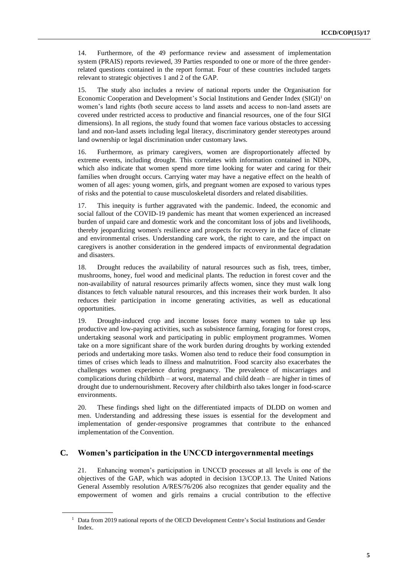14. Furthermore, of the 49 performance review and assessment of implementation system (PRAIS) reports reviewed, 39 Parties responded to one or more of the three genderrelated questions contained in the report format. Four of these countries included targets relevant to strategic objectives 1 and 2 of the GAP.

15. The study also includes a review of national reports under the Organisation for Economic Cooperation and Development's Social Institutions and Gender Index (SIGI)<sup>1</sup> on women's land rights (both secure access to land assets and access to non-land assets are covered under restricted access to productive and financial resources, one of the four SIGI dimensions). In all regions, the study found that women face various obstacles to accessing land and non-land assets including legal literacy, discriminatory gender stereotypes around land ownership or legal discrimination under customary laws.

16. Furthermore, as primary caregivers, women are disproportionately affected by extreme events, including drought. This correlates with information contained in NDPs, which also indicate that women spend more time looking for water and caring for their families when drought occurs. Carrying water may have a negative effect on the health of women of all ages: young women, girls, and pregnant women are exposed to various types of risks and the potential to cause musculoskeletal disorders and related disabilities.

17. This inequity is further aggravated with the pandemic. Indeed, the economic and social fallout of the COVID-19 pandemic has meant that women experienced an increased burden of unpaid care and domestic work and the concomitant loss of jobs and livelihoods, thereby jeopardizing women's resilience and prospects for recovery in the face of climate and environmental crises. Understanding care work, the right to care, and the impact on caregivers is another consideration in the gendered impacts of environmental degradation and disasters.

18. Drought reduces the availability of natural resources such as fish, trees, timber, mushrooms, honey, fuel wood and medicinal plants. The reduction in forest cover and the non-availability of natural resources primarily affects women, since they must walk long distances to fetch valuable natural resources, and this increases their work burden. It also reduces their participation in income generating activities, as well as educational opportunities.

19. Drought-induced crop and income losses force many women to take up less productive and low-paying activities, such as subsistence farming, foraging for forest crops, undertaking seasonal work and participating in public employment programmes. Women take on a more significant share of the work burden during droughts by working extended periods and undertaking more tasks. Women also tend to reduce their food consumption in times of crises which leads to illness and malnutrition. Food scarcity also exacerbates the challenges women experience during pregnancy. The prevalence of miscarriages and complications during childbirth – at worst, maternal and child death – are higher in times of drought due to undernourishment. Recovery after childbirth also takes longer in food-scarce environments.

20. These findings shed light on the differentiated impacts of DLDD on women and men. Understanding and addressing these issues is essential for the development and implementation of gender-responsive programmes that contribute to the enhanced implementation of the Convention.

### **C. Women's participation in the UNCCD intergovernmental meetings**

21. Enhancing women's participation in UNCCD processes at all levels is one of the objectives of the GAP, which was adopted in decision 13/COP.13. The United Nations General Assembly resolution A/RES/76/206 also recognizes that gender equality and the empowerment of women and girls remains a crucial contribution to the effective

<sup>&</sup>lt;sup>1</sup> Data from 2019 national reports of the OECD Development Centre's Social Institutions and Gender Index.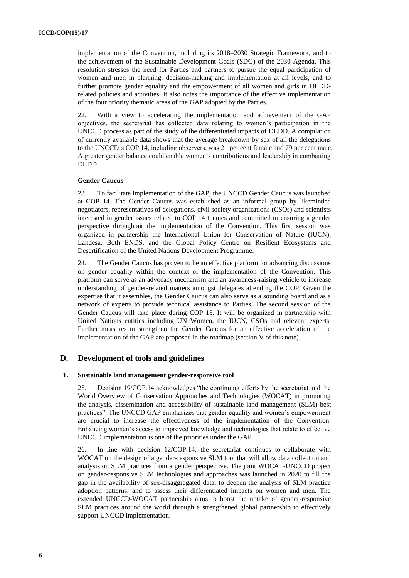implementation of the Convention, including its 2018–2030 Strategic Framework, and to the achievement of the Sustainable Development Goals (SDG) of the 2030 Agenda. This resolution stresses the need for Parties and partners to pursue the equal participation of women and men in planning, decision-making and implementation at all levels, and to further promote gender equality and the empowerment of all women and girls in DLDDrelated policies and activities. It also notes the importance of the effective implementation of the four priority thematic areas of the GAP adopted by the Parties.

22. With a view to accelerating the implementation and achievement of the GAP objectives, the secretariat has collected data relating to women's participation in the UNCCD process as part of the study of the differentiated impacts of DLDD. A compilation of currently available data shows that the average breakdown by sex of all the delegations to the UNCCD's COP 14, including observers, was 21 per cent female and 79 per cent male. A greater gender balance could enable women's contributions and leadership in combatting DLDD.

#### **Gender Caucus**

23. To facilitate implementation of the GAP, the UNCCD Gender Caucus was launched at COP 14. The Gender Caucus was established as an informal group by likeminded negotiators, representatives of delegations, civil society organizations (CSOs) and scientists interested in gender issues related to COP 14 themes and committed to ensuring a gender perspective throughout the implementation of the Convention. This first session was organized in partnership the International Union for Conservation of Nature (IUCN), Landesa, Both ENDS, and the Global Policy Centre on Resilient Ecosystems and Desertification of the United Nations Development Programme.

24. The Gender Caucus has proven to be an effective platform for advancing discussions on gender equality within the context of the implementation of the Convention. This platform can serve as an advocacy mechanism and an awareness-raising vehicle to increase understanding of gender-related matters amongst delegates attending the COP. Given the expertise that it assembles, the Gender Caucus can also serve as a sounding board and as a network of experts to provide technical assistance to Parties. The second session of the Gender Caucus will take place during COP 15. It will be organized in partnership with United Nations entities including UN Women, the IUCN, CSOs and relevant experts. Further measures to strengthen the Gender Caucus for an effective acceleration of the implementation of the GAP are proposed in the roadmap (section V of this note).

#### **D. Development of tools and guidelines**

#### **1. Sustainable land management gender-responsive tool**

25. Decision 19/COP.14 acknowledges "the continuing efforts by the secretariat and the World Overview of Conservation Approaches and Technologies (WOCAT) in promoting the analysis, dissemination and accessibility of sustainable land management (SLM) best practices". The UNCCD GAP emphasizes that gender equality and women's empowerment are crucial to increase the effectiveness of the implementation of the Convention. Enhancing women's access to improved knowledge and technologies that relate to effective UNCCD implementation is one of the priorities under the GAP.

26. In line with decision 12/COP.14, the secretariat continues to collaborate with WOCAT on the design of a gender-responsive SLM tool that will allow data collection and analysis on SLM practices from a gender perspective. The joint WOCAT-UNCCD project on gender-responsive SLM technologies and approaches was launched in 2020 to fill the gap in the availability of sex-disaggregated data, to deepen the analysis of SLM practice adoption patterns, and to assess their differentiated impacts on women and men. The extended UNCCD-WOCAT partnership aims to boost the uptake of gender-responsive SLM practices around the world through a strengthened global partnership to effectively support UNCCD implementation.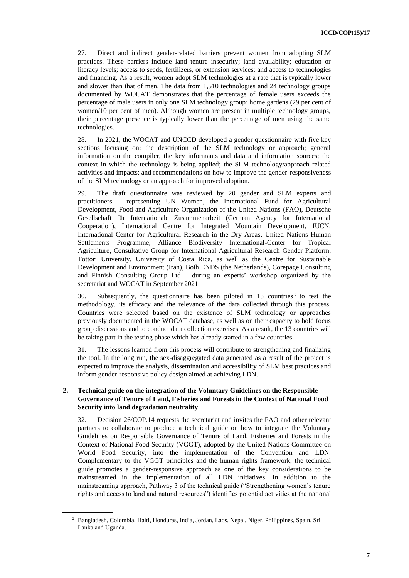27. Direct and indirect gender-related barriers prevent women from adopting SLM practices. These barriers include land tenure insecurity; land availability; education or literacy levels; access to seeds, fertilizers, or extension services; and access to technologies and financing. As a result, women adopt SLM technologies at a rate that is typically lower and slower than that of men. The data from 1,510 technologies and 24 technology groups documented by WOCAT demonstrates that the percentage of female users exceeds the percentage of male users in only one SLM technology group: home gardens (29 per cent of women/10 per cent of men). Although women are present in multiple technology groups, their percentage presence is typically lower than the percentage of men using the same technologies.

28. In 2021, the WOCAT and UNCCD developed a gender questionnaire with five key sections focusing on: the description of the SLM technology or approach; general information on the compiler, the key informants and data and information sources; the context in which the technology is being applied; the SLM technology/approach related activities and impacts; and recommendations on how to improve the gender-responsiveness of the SLM technology or an approach for improved adoption.

29. The draft questionnaire was reviewed by 20 gender and SLM experts and practitioners – representing UN Women, the International Fund for Agricultural Development, Food and Agriculture Organization of the United Nations (FAO), Deutsche Gesellschaft für Internationale Zusammenarbeit (German Agency for International Cooperation), International Centre for Integrated Mountain Development, IUCN, International Center for Agricultural Research in the Dry Areas, United Nations Human Settlements Programme, Alliance Biodiversity International-Center for Tropical Agriculture, Consultative Group for International Agricultural Research Gender Platform, Tottori University, University of Costa Rica, as well as the Centre for Sustainable Development and Environment (Iran), Both ENDS (the Netherlands), Corepage Consulting and Finnish Consulting Group Ltd – during an experts' workshop organized by the secretariat and WOCAT in September 2021.

30. Subsequently, the questionnaire has been piloted in 13 countries<sup>2</sup> to test the methodology, its efficacy and the relevance of the data collected through this process. Countries were selected based on the existence of SLM technology or approaches previously documented in the WOCAT database, as well as on their capacity to hold focus group discussions and to conduct data collection exercises. As a result, the 13 countries will be taking part in the testing phase which has already started in a few countries.

31. The lessons learned from this process will contribute to strengthening and finalizing the tool. In the long run, the sex-disaggregated data generated as a result of the project is expected to improve the analysis, dissemination and accessibility of SLM best practices and inform gender-responsive policy design aimed at achieving LDN.

#### **2. Technical guide on the integration of the Voluntary Guidelines on the Responsible Governance of Tenure of Land, Fisheries and Forests in the Context of National Food Security into land degradation neutrality**

32. Decision 26/COP.14 requests the secretariat and invites the FAO and other relevant partners to collaborate to produce a technical guide on how to integrate the Voluntary Guidelines on Responsible Governance of Tenure of Land, Fisheries and Forests in the Context of National Food Security (VGGT), adopted by the United Nations Committee on World Food Security, into the implementation of the Convention and LDN. Complementary to the VGGT principles and the human rights framework, the technical guide promotes a gender-responsive approach as one of the key considerations to be mainstreamed in the implementation of all LDN initiatives. In addition to the mainstreaming approach, Pathway 3 of the technical guide ("Strengthening women's tenure rights and access to land and natural resources") identifies potential activities at the national

<sup>2</sup> Bangladesh, Colombia, Haiti, Honduras, India, Jordan, Laos, Nepal, Niger, Philippines, Spain, Sri Lanka and Uganda.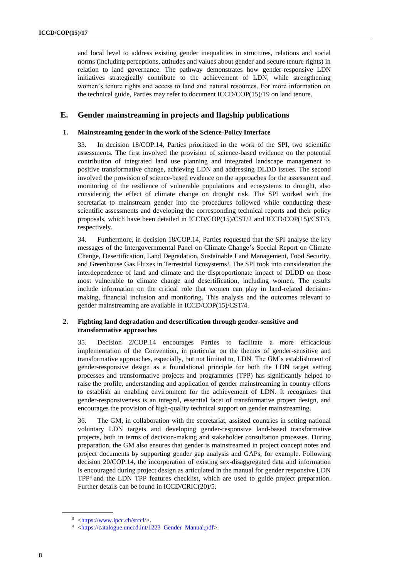and local level to address existing gender inequalities in structures, relations and social norms (including perceptions, attitudes and values about gender and secure tenure rights) in relation to land governance. The pathway demonstrates how gender-responsive LDN initiatives strategically contribute to the achievement of LDN, while strengthening women's tenure rights and access to land and natural resources. For more information on the technical guide, Parties may refer to document ICCD/COP(15)/19 on land tenure.

### **E. Gender mainstreaming in projects and flagship publications**

#### **1. Mainstreaming gender in the work of the Science-Policy Interface**

33. In decision 18/COP.14, Parties prioritized in the work of the SPI, two scientific assessments. The first involved the provision of science-based evidence on the potential contribution of integrated land use planning and integrated landscape management to positive transformative change, achieving LDN and addressing DLDD issues. The second involved the provision of science-based evidence on the approaches for the assessment and monitoring of the resilience of vulnerable populations and ecosystems to drought, also considering the effect of climate change on drought risk. The SPI worked with the secretariat to mainstream gender into the procedures followed while conducting these scientific assessments and developing the corresponding technical reports and their policy proposals, which have been detailed in ICCD/COP(15)/CST/2 and ICCD/COP(15)/CST/3, respectively.

34. Furthermore, in decision 18/COP.14, Parties requested that the SPI analyse the key messages of the Intergovernmental Panel on Climate Change's Special Report on Climate Change, Desertification, Land Degradation, Sustainable Land Management, Food Security, and Greenhouse Gas Fluxes in Terrestrial Ecosystems*<sup>3</sup>* . The SPI took into consideration the interdependence of land and climate and the disproportionate impact of DLDD on those most vulnerable to climate change and desertification, including women. The results include information on the critical role that women can play in land-related decisionmaking, financial inclusion and monitoring. This analysis and the outcomes relevant to gender mainstreaming are available in ICCD/COP(15)/CST/4.

#### **2. Fighting land degradation and desertification through gender-sensitive and transformative approaches**

35. Decision 2/COP.14 encourages Parties to facilitate a more efficacious implementation of the Convention, in particular on the themes of gender-sensitive and transformative approaches, especially, but not limited to, LDN. The GM's establishment of gender-responsive design as a foundational principle for both the LDN target setting processes and transformative projects and programmes (TPP) has significantly helped to raise the profile, understanding and application of gender mainstreaming in country efforts to establish an enabling environment for the achievement of LDN. It recognizes that gender-responsiveness is an integral, essential facet of transformative project design, and encourages the provision of high-quality technical support on gender mainstreaming.

36. The GM, in collaboration with the secretariat, assisted countries in setting national voluntary LDN targets and developing gender-responsive land-based transformative projects, both in terms of decision-making and stakeholder consultation processes. During preparation, the GM also ensures that gender is mainstreamed in project concept notes and project documents by supporting gender gap analysis and GAPs, for example. Following decision 20/COP.14, the incorporation of existing sex-disaggregated data and information is encouraged during project design as articulated in the manual for gender responsive LDN TPP<sup>4</sup> and the LDN TPP features checklist, which are used to guide project preparation. Further details can be found in ICCD/CRIC(20)/5.

 $3$  [<https://www.ipcc.ch/srccl/>](https://www.ipcc.ch/srccl/).

<sup>4</sup> [<https://catalogue.unccd.int/1223\\_Gender\\_Manual.pdf>](https://catalogue.unccd.int/1223_Gender_Manual.pdf).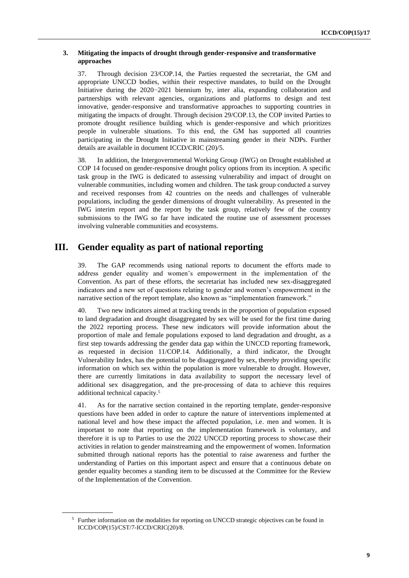#### **3. Mitigating the impacts of drought through gender-responsive and transformative approaches**

37. Through decision 23/COP.14, the Parties requested the secretariat, the GM and appropriate UNCCD bodies, within their respective mandates, to build on the Drought Initiative during the 2020−2021 biennium by, inter alia, expanding collaboration and partnerships with relevant agencies, organizations and platforms to design and test innovative, gender-responsive and transformative approaches to supporting countries in mitigating the impacts of drought. Through decision 29/COP.13, the COP invited Parties to promote drought resilience building which is gender-responsive and which prioritizes people in vulnerable situations. To this end, the GM has supported all countries participating in the Drought Initiative in mainstreaming gender in their NDPs. Further details are available in document ICCD/CRIC (20)/5.

38. In addition, the Intergovernmental Working Group (IWG) on Drought established at COP 14 focused on gender-responsive drought policy options from its inception. A specific task group in the IWG is dedicated to assessing vulnerability and impact of drought on vulnerable communities, including women and children. The task group conducted a survey and received responses from 42 countries on the needs and challenges of vulnerable populations, including the gender dimensions of drought vulnerability. As presented in the IWG interim report and the report by the task group, relatively few of the country submissions to the IWG so far have indicated the routine use of assessment processes involving vulnerable communities and ecosystems.

## **III. Gender equality as part of national reporting**

39. The GAP recommends using national reports to document the efforts made to address gender equality and women's empowerment in the implementation of the Convention. As part of these efforts, the secretariat has included new sex-disaggregated indicators and a new set of questions relating to gender and women's empowerment in the narrative section of the report template, also known as "implementation framework."

40. Two new indicators aimed at tracking trends in the proportion of population exposed to land degradation and drought disaggregated by sex will be used for the first time during the 2022 reporting process. These new indicators will provide information about the proportion of male and female populations exposed to land degradation and drought, as a first step towards addressing the gender data gap within the UNCCD reporting framework, as requested in decision 11/COP.14. Additionally, a third indicator, the Drought Vulnerability Index, has the potential to be disaggregated by sex, thereby providing specific information on which sex within the population is more vulnerable to drought. However, there are currently limitations in data availability to support the necessary level of additional sex disaggregation, and the pre-processing of data to achieve this requires additional technical capacity.<sup>5</sup>

41. As for the narrative section contained in the reporting template, gender-responsive questions have been added in order to capture the nature of interventions implemented at national level and how these impact the affected population, i.e. men and women. It is important to note that reporting on the implementation framework is voluntary, and therefore it is up to Parties to use the 2022 UNCCD reporting process to showcase their activities in relation to gender mainstreaming and the empowerment of women. Information submitted through national reports has the potential to raise awareness and further the understanding of Parties on this important aspect and ensure that a continuous debate on gender equality becomes a standing item to be discussed at the Committee for the Review of the Implementation of the Convention.

<sup>&</sup>lt;sup>5</sup> Further information on the modalities for reporting on UNCCD strategic objectives can be found in ICCD/COP(15)/CST/7-ICCD/CRIC(20)/8.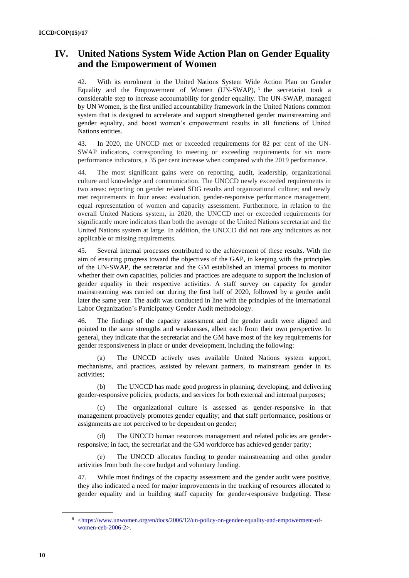## **IV. United Nations System Wide Action Plan on Gender Equality and the Empowerment of Women**

42. With its enrolment in the United Nations System Wide Action Plan on Gender Equality and the Empowerment of Women (UN-SWAP), <sup>6</sup> the secretariat took a considerable step to increase accountability for gender equality. The UN-SWAP, managed by UN Women, is the first unified accountability framework in the United Nations common system that is designed to accelerate and support strengthened gender mainstreaming and gender equality, and boost women's empowerment results in all functions of United Nations entities.

43. In 2020, the UNCCD met or exceeded requirements for 82 per cent of the UN-SWAP indicators, corresponding to meeting or exceeding requirements for six more performance indicators, a 35 per cent increase when compared with the 2019 performance.

44. The most significant gains were on reporting, audit, leadership, organizational culture and knowledge and communication. The UNCCD newly exceeded requirements in two areas: reporting on gender related SDG results and organizational culture; and newly met requirements in four areas: evaluation, gender-responsive performance management, equal representation of women and capacity assessment. Furthermore, in relation to the overall United Nations system, in 2020, the UNCCD met or exceeded requirements for significantly more indicators than both the average of the United Nations secretariat and the United Nations system at large. In addition, the UNCCD did not rate any indicators as not applicable or missing requirements.

45. Several internal processes contributed to the achievement of these results. With the aim of ensuring progress toward the objectives of the GAP, in keeping with the principles of the UN-SWAP, the secretariat and the GM established an internal process to monitor whether their own capacities, policies and practices are adequate to support the inclusion of gender equality in their respective activities. A staff survey on capacity for gender mainstreaming was carried out during the first half of 2020, followed by a gender audit later the same year. The audit was conducted in line with the principles of the International Labor Organization's Participatory Gender Audit methodology.

46. The findings of the capacity assessment and the gender audit were aligned and pointed to the same strengths and weaknesses, albeit each from their own perspective. In general, they indicate that the secretariat and the GM have most of the key requirements for gender responsiveness in place or under development, including the following:

(a) The UNCCD actively uses available United Nations system support, mechanisms, and practices, assisted by relevant partners, to mainstream gender in its activities;

(b) The UNCCD has made good progress in planning, developing, and delivering gender-responsive policies, products, and services for both external and internal purposes;

(c) The organizational culture is assessed as gender-responsive in that management proactively promotes gender equality; and that staff performance, positions or assignments are not perceived to be dependent on gender;

(d) The UNCCD human resources management and related policies are genderresponsive; in fact, the secretariat and the GM workforce has achieved gender parity;

(e) The UNCCD allocates funding to gender mainstreaming and other gender activities from both the core budget and voluntary funding.

47. While most findings of the capacity assessment and the gender audit were positive, they also indicated a need for major improvements in the tracking of resources allocated to gender equality and in building staff capacity for gender-responsive budgeting. These

<sup>6</sup> [<https://www.unwomen.org/en/docs/2006/12/un-policy-on-gender-equality-and-empowerment-of](https://www.unwomen.org/en/docs/2006/12/un-policy-on-gender-equality-and-empowerment-of-women-ceb-2006-2)[women-ceb-2006-2>](https://www.unwomen.org/en/docs/2006/12/un-policy-on-gender-equality-and-empowerment-of-women-ceb-2006-2).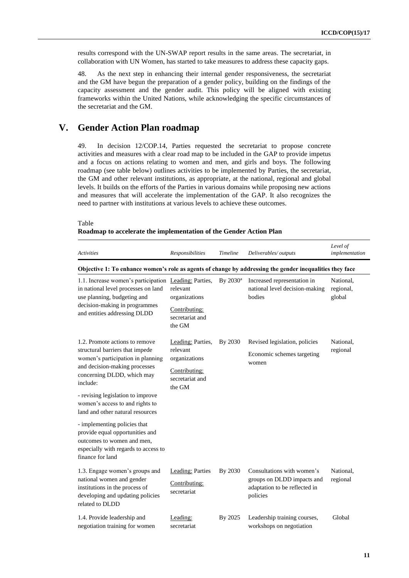results correspond with the UN-SWAP report results in the same areas. The secretariat, in collaboration with UN Women, has started to take measures to address these capacity gaps.

48. As the next step in enhancing their internal gender responsiveness, the secretariat and the GM have begun the preparation of a gender policy, building on the findings of the capacity assessment and the gender audit. This policy will be aligned with existing frameworks within the United Nations, while acknowledging the specific circumstances of the secretariat and the GM.

## **V. Gender Action Plan roadmap**

49. In decision 12/COP.14, Parties requested the secretariat to propose concrete activities and measures with a clear road map to be included in the GAP to provide impetus and a focus on actions relating to women and men, and girls and boys. The following roadmap (see table below) outlines activities to be implemented by Parties, the secretariat, the GM and other relevant institutions, as appropriate, at the national, regional and global levels. It builds on the efforts of the Parties in various domains while proposing new actions and measures that will accelerate the implementation of the GAP. It also recognizes the need to partner with institutions at various levels to achieve these outcomes.

#### Table

| Roadmap to accelerate the implementation of the Gender Action Plan |  |  |  |
|--------------------------------------------------------------------|--|--|--|
|--------------------------------------------------------------------|--|--|--|

| <b>Activities</b>                                                                                                                                                                                                                                                                             | Responsibilities                                                                             | Timeline    | Deliverables/outputs                                                                                  | Level of<br>implementation       |  |  |  |
|-----------------------------------------------------------------------------------------------------------------------------------------------------------------------------------------------------------------------------------------------------------------------------------------------|----------------------------------------------------------------------------------------------|-------------|-------------------------------------------------------------------------------------------------------|----------------------------------|--|--|--|
| Objective 1: To enhance women's role as agents of change by addressing the gender inequalities they face                                                                                                                                                                                      |                                                                                              |             |                                                                                                       |                                  |  |  |  |
| 1.1. Increase women's participation Leading: Parties,<br>in national level processes on land<br>use planning, budgeting and<br>decision-making in programmes<br>and entities addressing DLDD                                                                                                  | relevant<br>organizations<br>Contributing:<br>secretariat and<br>the GM                      | By $2030^a$ | Increased representation in<br>national level decision-making<br>bodies                               | National,<br>regional,<br>global |  |  |  |
| 1.2. Promote actions to remove<br>structural barriers that impede<br>women's participation in planning<br>and decision-making processes<br>concerning DLDD, which may<br>include:<br>- revising legislation to improve<br>women's access to and rights to<br>land and other natural resources | Leading: Parties,<br>relevant<br>organizations<br>Contributing:<br>secretariat and<br>the GM | By 2030     | Revised legislation, policies<br>Economic schemes targeting<br>women                                  | National,<br>regional            |  |  |  |
| - implementing policies that<br>provide equal opportunities and<br>outcomes to women and men.<br>especially with regards to access to<br>finance for land                                                                                                                                     |                                                                                              |             |                                                                                                       |                                  |  |  |  |
| 1.3. Engage women's groups and<br>national women and gender<br>institutions in the process of<br>developing and updating policies<br>related to DLDD                                                                                                                                          | <b>Leading: Parties</b><br>Contributing:<br>secretariat                                      | By 2030     | Consultations with women's<br>groups on DLDD impacts and<br>adaptation to be reflected in<br>policies | National.<br>regional            |  |  |  |
| 1.4. Provide leadership and<br>negotiation training for women                                                                                                                                                                                                                                 | Leading:<br>secretariat                                                                      | By 2025     | Leadership training courses,<br>workshops on negotiation                                              | Global                           |  |  |  |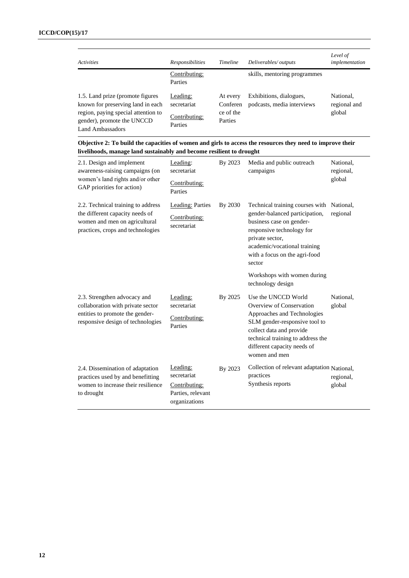| <b>Activities</b>                                                                                                                                                      | <b>Responsibilities</b>                             | <b>Timeline</b>                              | Deliverables/outputs                                  | Level of<br>implementation          |
|------------------------------------------------------------------------------------------------------------------------------------------------------------------------|-----------------------------------------------------|----------------------------------------------|-------------------------------------------------------|-------------------------------------|
|                                                                                                                                                                        | Contributing:<br>Parties                            |                                              | skills, mentoring programmes                          |                                     |
| 1.5. Land prize (promote figures)<br>known for preserving land in each<br>region, paying special attention to<br>gender), promote the UNCCD<br><b>Land Ambassadors</b> | Leading:<br>secretariat<br>Contributing:<br>Parties | At every<br>Conferen<br>ce of the<br>Parties | Exhibitions, dialogues,<br>podcasts, media interviews | National.<br>regional and<br>global |

| Objective 2: To build the capacities of women and girls to access the resources they need to improve their |
|------------------------------------------------------------------------------------------------------------|
| livelihoods, manage land sustainably and become resilient to drought                                       |

| 2.1. Design and implement<br>awareness-raising campaigns (on<br>women's land rights and/or other<br>GAP priorities for action)              | Leading:<br>secretariat<br>Contributing:<br>Parties                            | By 2023 | Media and public outreach<br>campaigns                                                                                                                                                                                           | National,<br>regional,<br>global |
|---------------------------------------------------------------------------------------------------------------------------------------------|--------------------------------------------------------------------------------|---------|----------------------------------------------------------------------------------------------------------------------------------------------------------------------------------------------------------------------------------|----------------------------------|
| 2.2. Technical training to address<br>the different capacity needs of<br>women and men on agricultural<br>practices, crops and technologies | Leading: Parties<br>Contributing:<br>secretariat                               | By 2030 | Technical training courses with<br>gender-balanced participation,<br>business case on gender-<br>responsive technology for<br>private sector,<br>academic/vocational training<br>with a focus on the agri-food<br>sector         | National,<br>regional            |
|                                                                                                                                             |                                                                                |         | Workshops with women during<br>technology design                                                                                                                                                                                 |                                  |
| 2.3. Strengthen advocacy and<br>collaboration with private sector<br>entities to promote the gender-<br>responsive design of technologies   | Leading:<br>secretariat<br>Contributing:<br>Parties                            | By 2025 | Use the UNCCD World<br>Overview of Conservation<br>Approaches and Technologies<br>SLM gender-responsive tool to<br>collect data and provide<br>technical training to address the<br>different capacity needs of<br>women and men | National.<br>global              |
| 2.4. Dissemination of adaptation<br>practices used by and benefitting<br>women to increase their resilience<br>to drought                   | Leading:<br>secretariat<br>Contributing:<br>Parties, relevant<br>organizations | By 2023 | Collection of relevant adaptation National,<br>practices<br>Synthesis reports                                                                                                                                                    | regional,<br>global              |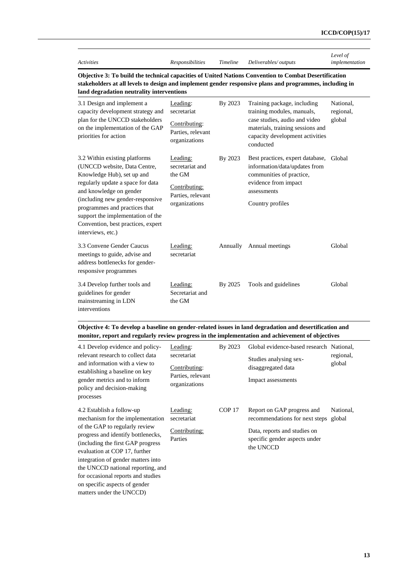| Activities |  |  |
|------------|--|--|
|            |  |  |

*Activities Responsibilities Timeline Deliverables/ outputs*

*Level of implementation*

**Objective 3: To build the technical capacities of United Nations Convention to Combat Desertification stakeholders at all levels to design and implement gender responsive plans and programmes, including in land degradation neutrality interventions**

| 3.1 Design and implement a<br>capacity development strategy and<br>plan for the UNCCD stakeholders<br>on the implementation of the GAP<br>priorities for action                                                                                                                                                                  | Leading:<br>secretariat<br>Contributing:<br>Parties, relevant<br>organizations               | By 2023  | Training package, including<br>training modules, manuals,<br>case studies, audio and video<br>materials, training sessions and<br>capacity development activities<br>conducted | National.<br>regional,<br>global |
|----------------------------------------------------------------------------------------------------------------------------------------------------------------------------------------------------------------------------------------------------------------------------------------------------------------------------------|----------------------------------------------------------------------------------------------|----------|--------------------------------------------------------------------------------------------------------------------------------------------------------------------------------|----------------------------------|
| 3.2 Within existing platforms<br>(UNCCD website, Data Centre,<br>Knowledge Hub), set up and<br>regularly update a space for data<br>and knowledge on gender<br>(including new gender-responsive<br>programmes and practices that<br>support the implementation of the<br>Convention, best practices, expert<br>interviews, etc.) | Leading:<br>secretariat and<br>the GM<br>Contributing:<br>Parties, relevant<br>organizations | By 2023  | Best practices, expert database, Global<br>information/data/updates from<br>communities of practice,<br>evidence from impact<br>assessments<br>Country profiles                |                                  |
| 3.3 Convene Gender Caucus<br>meetings to guide, advise and<br>address bottlenecks for gender-<br>responsive programmes                                                                                                                                                                                                           | Leading:<br>secretariat                                                                      | Annually | Annual meetings                                                                                                                                                                | Global                           |
| 3.4 Develop further tools and<br>guidelines for gender<br>mainstreaming in LDN<br>interventions                                                                                                                                                                                                                                  | Leading:<br>Secretariat and<br>the GM                                                        | By 2025  | Tools and guidelines                                                                                                                                                           | Global                           |

**Objective 4: To develop a baseline on gender-related issues in land degradation and desertification and monitor, report and regularly review progress in the implementation and achievement of objectives**

| 4.1 Develop evidence and policy-<br>relevant research to collect data<br>and information with a view to<br>establishing a baseline on key<br>gender metrics and to inform<br>policy and decision-making<br>processes                                                                                                          | Leading:<br>secretariat<br>Contributing:<br>Parties, relevant<br>organizations | By 2023           | Global evidence-based research National,<br>Studies analysing sex-<br>disaggregated data<br>Impact assessments                             | regional,<br>global |
|-------------------------------------------------------------------------------------------------------------------------------------------------------------------------------------------------------------------------------------------------------------------------------------------------------------------------------|--------------------------------------------------------------------------------|-------------------|--------------------------------------------------------------------------------------------------------------------------------------------|---------------------|
| 4.2 Establish a follow-up<br>mechanism for the implementation<br>of the GAP to regularly review<br>progress and identify bottlenecks,<br>(including the first GAP progress)<br>evaluation at COP 17, further<br>integration of gender matters into<br>the UNCCD national reporting, and<br>for occasional reports and studies | Leading:<br>secretariat<br>Contributing:<br>Parties                            | COP <sub>17</sub> | Report on GAP progress and<br>recommendations for next steps<br>Data, reports and studies on<br>specific gender aspects under<br>the UNCCD | National,<br>global |
| on specific aspects of gender<br>matters under the UNCCD)                                                                                                                                                                                                                                                                     |                                                                                |                   |                                                                                                                                            |                     |